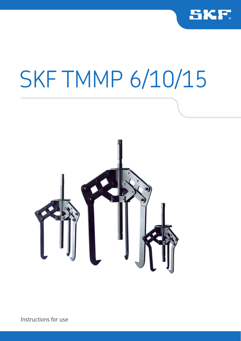

# SKF TMMP 6/10/15



Instructions for use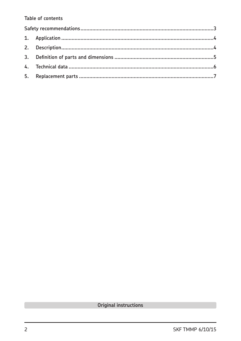#### Table of contents

Original instructions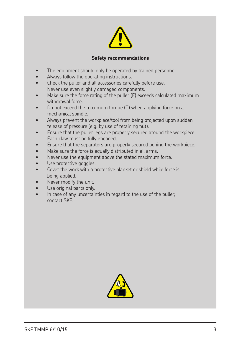

#### **Safety recommendations**

- The equipment should only be operated by trained personnel.
- Always follow the operating instructions.
- Check the puller and all accessories carefully before use. Never use even slightly damaged components.
- Make sure the force rating of the puller (F) exceeds calculated maximum withdrawal force.
- Do not exceed the maximum torque (T) when applying force on a mechanical spindle.
- Always prevent the workpiece/tool from being projected upon sudden release of pressure (e.g. by use of retaining nut).
- Ensure that the puller legs are properly secured around the workpiece. Each claw must be fully engaged.
- Ensure that the separators are properly secured behind the workpiece.
- Make sure the force is equally distributed in all arms.
- Never use the equipment above the stated maximum force.
- Use protective goggles.
- Cover the work with a protective blanket or shield while force is being applied.
- Never modify the unit.
- Use original parts only.
- In case of any uncertainties in regard to the use of the puller, contact SKF.

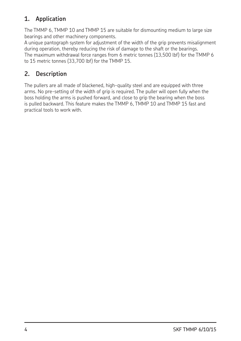## **1. Application**

The TMMP 6, TMMP 10 and TMMP 15 are suitable for dismounting medium to large size bearings and other machinery components.

A unique pantograph system for adjustment of the width of the grip prevents misalignment during operation, thereby reducing the risk of damage to the shaft or the bearings. The maximum withdrawal force ranges from 6 metric tonnes (13,500 lbf) for the TMMP 6 to 15 metric tonnes (33,700 lbf) for the TMMP 15.

## **2. Description**

The pullers are all made of blackened, high-quality steel and are equipped with three arms. No pre-setting of the width of grip is required. The puller will open fully when the boss holding the arms is pushed forward, and close to grip the bearing when the boss is pulled backward. This feature makes the TMMP 6, TMMP 10 and TMMP 15 fast and practical tools to work with.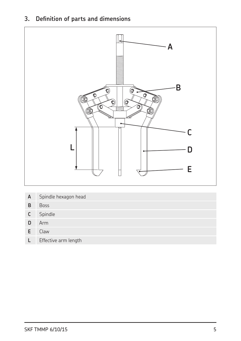### **3. Definition of parts and dimensions**



| A | Spindle hexagon head |  |
|---|----------------------|--|
|---|----------------------|--|

- **B** Boss
- **C** Spindle
- **D** Arm
- **E** Claw
- **L** Effective arm length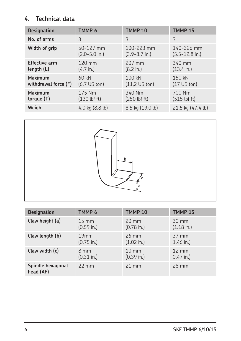### **4. Technical data**

| <b>Designation</b>   | TMMP 6                 | TMMP <sub>10</sub>  | <b>TMMP 15</b>       |
|----------------------|------------------------|---------------------|----------------------|
| No. of arms          | 3                      | 3                   | 3                    |
| Width of grip        | 50-127 mm              | 100-223 mm          | 140-326 mm           |
|                      | $(2.0 - 5.0)$ in.)     | $(3.9 - 8.7)$ in.)  | $(5.5 - 12.8)$ in.)  |
| <b>Effective arm</b> | $120$ mm               | 207 mm              | 340 mm               |
| length $(L)$         | $(4.7 \text{ in.})$    | $(8.2 \text{ in.})$ | $(13.4 \text{ in.})$ |
| Maximum              | 60 kN                  | 100 kN              | 150 kN               |
| withdrawal force (F) | $(6.7 \text{ US ton})$ | $(11,2$ US ton)     | $(17$ US ton)        |
| Maximum              | 175 Nm                 | 340 Nm              | 700 Nm               |
| torque (T)           | $(130$ lbf ft)         | $(250$ lbf ft $)$   | $(515$ lbf ft)       |
| Weight               | 4.0 kg (8.8 lb)        | 8.5 kg (19.0 lb)    | 21.5 kg (47.4 lb)    |



| <b>Designation</b>             | TMMP 6               | <b>TMMP 10</b>       | <b>TMMP 15</b>       |
|--------------------------------|----------------------|----------------------|----------------------|
| Claw height (a)                | $15 \text{ mm}$      | $20 \text{ mm}$      | $30 \text{ mm}$      |
|                                | $(0.59 \text{ in.})$ | $(0.78 \text{ in.})$ | $(1.18 \text{ in.})$ |
| Claw length (b)                | 19mm                 | $26 \text{ mm}$      | $37 \text{ mm}$      |
|                                | $(0.75 \text{ in.})$ | $(1.02 \text{ in.})$ | $1.46$ in.)          |
| Claw width (c)                 | $8 \text{ mm}$       | $10 \text{ mm}$      | $12 \text{ mm}$      |
|                                | $(0.31 \text{ in.})$ | $(0.39 \text{ in.})$ | $0.47$ in.)          |
| Spindle hexagonal<br>head (AF) | $22 \text{ mm}$      | $21 \text{ mm}$      | 28 mm                |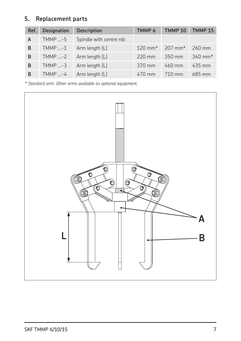### **5. Replacement parts**

| Ref. | <b>Designation</b> | <b>Description</b>      | TMMP <sub>6</sub>  | <b>TMMP 10</b>     | <b>TMMP 15</b> |
|------|--------------------|-------------------------|--------------------|--------------------|----------------|
| A    | $TMMP  -5$         | Spindle with centre nib |                    |                    |                |
| в    | $T$ MMP -1         | Arm length (L)          | $120 \text{ mm}^*$ | $207 \text{ mm}^*$ | 260 mm         |
| B    | $T$ MMP -2         | Arm length (L)          | 220 mm             | 350 mm             | 340 mm*        |
| в    | $TMMP  -3$         | Arm length (L)          | 370 mm             | $460$ mm           | 435 mm         |
| B    | $TMMP  -4$         | Arm length (L)          | $470$ mm           | $710 \text{ mm}$   | 685 mm         |

*\* Standard arm. Other arms available as optional equipment.*